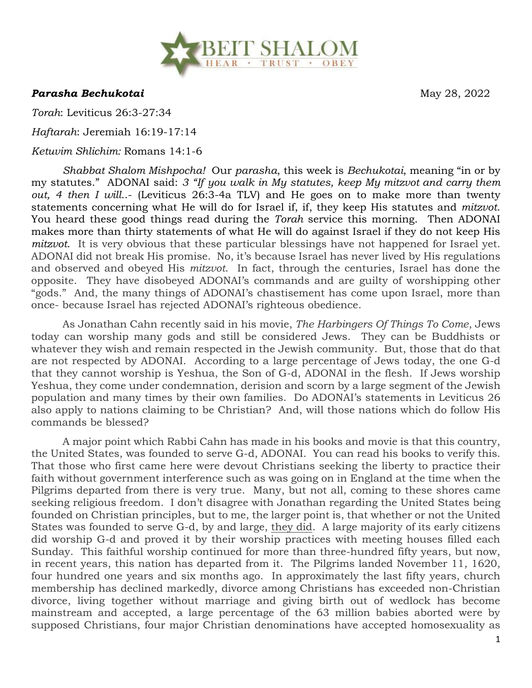

*Parasha Bechukotai* May 28, 2022

*Torah*: Leviticus 26:3-27:34

*Haftarah*: Jeremiah 16:19-17:14

*Ketuvim Shlichim:* Romans 14:1-6

*Shabbat Shalom Mishpocha!* Our *parasha*, this week is *Bechukotai*, meaning "in or by my statutes." ADONAI said: *3 "If you walk in My statutes, keep My mitzvot and carry them out, 4 then I will*..- (Leviticus 26:3-4a TLV) and He goes on to make more than twenty statements concerning what He will do for Israel if, if, they keep His statutes and *mitzvot*. You heard these good things read during the *Torah* service this morning. Then ADONAI makes more than thirty statements of what He will do against Israel if they do not keep His *mitzvot*. It is very obvious that these particular blessings have not happened for Israel yet. ADONAI did not break His promise. No, it's because Israel has never lived by His regulations and observed and obeyed His *mitzvot*. In fact, through the centuries, Israel has done the opposite. They have disobeyed ADONAI's commands and are guilty of worshipping other "gods." And, the many things of ADONAI's chastisement has come upon Israel, more than once- because Israel has rejected ADONAI's righteous obedience.

As Jonathan Cahn recently said in his movie, *The Harbingers Of Things To Come*, Jews today can worship many gods and still be considered Jews. They can be Buddhists or whatever they wish and remain respected in the Jewish community. But, those that do that are not respected by ADONAI. According to a large percentage of Jews today, the one G-d that they cannot worship is Yeshua, the Son of G-d, ADONAI in the flesh. If Jews worship Yeshua, they come under condemnation, derision and scorn by a large segment of the Jewish population and many times by their own families. Do ADONAI's statements in Leviticus 26 also apply to nations claiming to be Christian? And, will those nations which do follow His commands be blessed?

A major point which Rabbi Cahn has made in his books and movie is that this country, the United States, was founded to serve G-d, ADONAI. You can read his books to verify this. That those who first came here were devout Christians seeking the liberty to practice their faith without government interference such as was going on in England at the time when the Pilgrims departed from there is very true. Many, but not all, coming to these shores came seeking religious freedom. I don't disagree with Jonathan regarding the United States being founded on Christian principles, but to me, the larger point is, that whether or not the United States was founded to serve G-d, by and large, they did. A large majority of its early citizens did worship G-d and proved it by their worship practices with meeting houses filled each Sunday. This faithful worship continued for more than three-hundred fifty years, but now, in recent years, this nation has departed from it. The Pilgrims landed November 11, 1620, four hundred one years and six months ago. In approximately the last fifty years, church membership has declined markedly, divorce among Christians has exceeded non-Christian divorce, living together without marriage and giving birth out of wedlock has become mainstream and accepted, a large percentage of the 63 million babies aborted were by supposed Christians, four major Christian denominations have accepted homosexuality as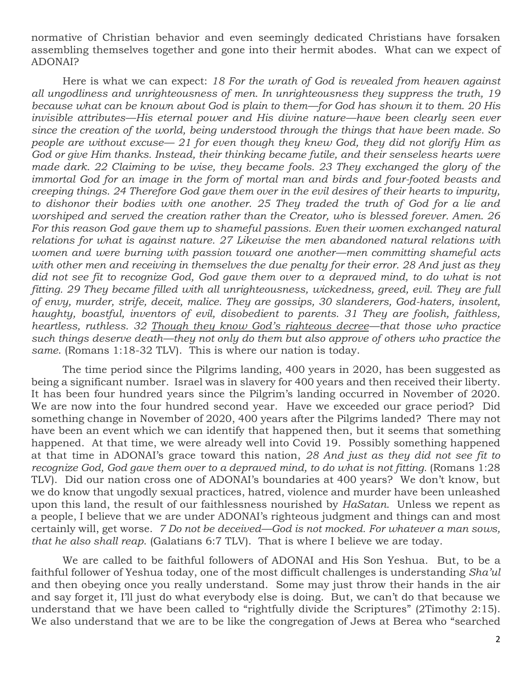normative of Christian behavior and even seemingly dedicated Christians have forsaken assembling themselves together and gone into their hermit abodes. What can we expect of ADONAI?

Here is what we can expect: *18 For the wrath of God is revealed from heaven against all ungodliness and unrighteousness of men. In unrighteousness they suppress the truth, 19 because what can be known about God is plain to them—for God has shown it to them. 20 His invisible attributes—His eternal power and His divine nature—have been clearly seen ever since the creation of the world, being understood through the things that have been made. So people are without excuse— 21 for even though they knew God, they did not glorify Him as God or give Him thanks. Instead, their thinking became futile, and their senseless hearts were made dark. 22 Claiming to be wise, they became fools. 23 They exchanged the glory of the immortal God for an image in the form of mortal man and birds and four-footed beasts and creeping things. 24 Therefore God gave them over in the evil desires of their hearts to impurity, to dishonor their bodies with one another. 25 They traded the truth of God for a lie and worshiped and served the creation rather than the Creator, who is blessed forever. Amen. 26*  For this reason God gave them up to shameful passions. Even their women exchanged natural *relations for what is against nature. 27 Likewise the men abandoned natural relations with women and were burning with passion toward one another—men committing shameful acts with other men and receiving in themselves the due penalty for their error. 28 And just as they*  did not see fit to recognize God, God gave them over to a depraved mind, to do what is not *fitting. 29 They became filled with all unrighteousness, wickedness, greed, evil. They are full of envy, murder, strife, deceit, malice. They are gossips, 30 slanderers, God-haters, insolent, haughty, boastful, inventors of evil, disobedient to parents. 31 They are foolish, faithless, heartless, ruthless. 32 Though they know God's righteous decree—that those who practice such things deserve death—they not only do them but also approve of others who practice the same*. (Romans 1:18-32 TLV). This is where our nation is today.

The time period since the Pilgrims landing, 400 years in 2020, has been suggested as being a significant number. Israel was in slavery for 400 years and then received their liberty. It has been four hundred years since the Pilgrim's landing occurred in November of 2020. We are now into the four hundred second year. Have we exceeded our grace period? Did something change in November of 2020, 400 years after the Pilgrims landed? There may not have been an event which we can identify that happened then, but it seems that something happened. At that time, we were already well into Covid 19. Possibly something happened at that time in ADONAI's grace toward this nation, *28 And just as they did not see fit to*  recognize God, God gave them over to a depraved mind, to do what is not fitting. (Romans 1:28 TLV). Did our nation cross one of ADONAI's boundaries at 400 years? We don't know, but we do know that ungodly sexual practices, hatred, violence and murder have been unleashed upon this land, the result of our faithlessness nourished by *HaSatan*. Unless we repent as a people, I believe that we are under ADONAI's righteous judgment and things can and most certainly will, get worse. *7 Do not be deceived—God is not mocked. For whatever a man sows, that he also shall reap*. (Galatians 6:7 TLV). That is where I believe we are today.

We are called to be faithful followers of ADONAI and His Son Yeshua. But, to be a faithful follower of Yeshua today, one of the most difficult challenges is understanding *Sha'ul* and then obeying once you really understand. Some may just throw their hands in the air and say forget it, I'll just do what everybody else is doing. But, we can't do that because we understand that we have been called to "rightfully divide the Scriptures" (2Timothy 2:15). We also understand that we are to be like the congregation of Jews at Berea who "searched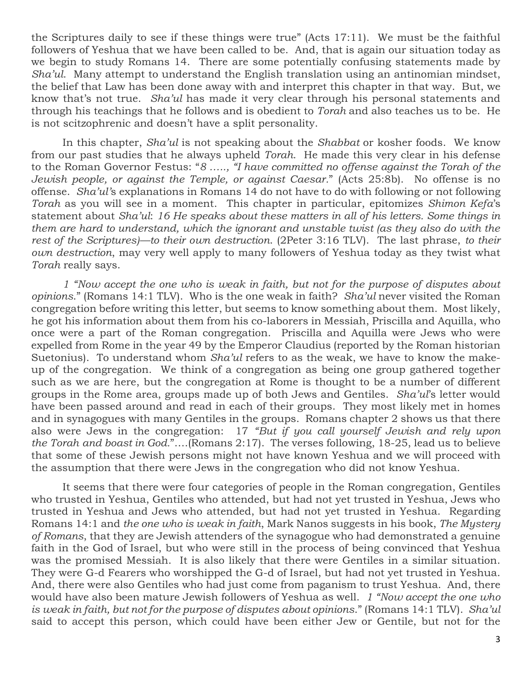the Scriptures daily to see if these things were true" (Acts 17:11). We must be the faithful followers of Yeshua that we have been called to be. And, that is again our situation today as we begin to study Romans 14. There are some potentially confusing statements made by *Sha'ul*. Many attempt to understand the English translation using an antinomian mindset, the belief that Law has been done away with and interpret this chapter in that way. But, we know that's not true. *Sha'ul* has made it very clear through his personal statements and through his teachings that he follows and is obedient to *Torah* and also teaches us to be. He is not scitzophrenic and doesn't have a split personality.

In this chapter, *Sha'ul* is not speaking about the *Shabbat* or kosher foods. We know from our past studies that he always upheld *Torah*. He made this very clear in his defense to the Roman Governor Festus: "*8 ….., "I have committed no offense against the Torah of the Jewish people, or against the Temple, or against Caesar.*" (Acts 25:8b). No offense is no offense. *Sha'ul'*s explanations in Romans 14 do not have to do with following or not following *Torah* as you will see in a moment. This chapter in particular, epitomizes *Shimon Kefa*'s statement about *Sha'ul*: *16 He speaks about these matters in all of his letters. Some things in them are hard to understand, which the ignorant and unstable twist (as they also do with the rest of the Scriptures)—to their own destruction*. (2Peter 3:16 TLV). The last phrase, *to their own destruction*, may very well apply to many followers of Yeshua today as they twist what *Torah* really says.

*1 "Now accept the one who is weak in faith, but not for the purpose of disputes about opinions*." (Romans 14:1 TLV). Who is the one weak in faith? *Sha'ul* never visited the Roman congregation before writing this letter, but seems to know something about them. Most likely, he got his information about them from his co-laborers in Messiah, Priscilla and Aquilla, who once were a part of the Roman congregation. Priscilla and Aquilla were Jews who were expelled from Rome in the year 49 by the Emperor Claudius (reported by the Roman historian Suetonius). To understand whom *Sha'ul* refers to as the weak, we have to know the makeup of the congregation. We think of a congregation as being one group gathered together such as we are here, but the congregation at Rome is thought to be a number of different groups in the Rome area, groups made up of both Jews and Gentiles. *Sha'ul*'s letter would have been passed around and read in each of their groups. They most likely met in homes and in synagogues with many Gentiles in the groups. Romans chapter 2 shows us that there also were Jews in the congregation: 17 *"But if you call yourself Jewish and rely upon the Torah and boast in God.*"….(Romans 2:17). The verses following, 18-25, lead us to believe that some of these Jewish persons might not have known Yeshua and we will proceed with the assumption that there were Jews in the congregation who did not know Yeshua.

It seems that there were four categories of people in the Roman congregation, Gentiles who trusted in Yeshua, Gentiles who attended, but had not yet trusted in Yeshua, Jews who trusted in Yeshua and Jews who attended, but had not yet trusted in Yeshua. Regarding Romans 14:1 and *the one who is weak in faith*, Mark Nanos suggests in his book, *The Mystery of Romans*, that they are Jewish attenders of the synagogue who had demonstrated a genuine faith in the God of Israel, but who were still in the process of being convinced that Yeshua was the promised Messiah. It is also likely that there were Gentiles in a similar situation. They were G-d Fearers who worshipped the G-d of Israel, but had not yet trusted in Yeshua. And, there were also Gentiles who had just come from paganism to trust Yeshua. And, there would have also been mature Jewish followers of Yeshua as well. *1 "Now accept the one who is weak in faith, but not for the purpose of disputes about opinions*." (Romans 14:1 TLV). *Sha'ul* said to accept this person, which could have been either Jew or Gentile, but not for the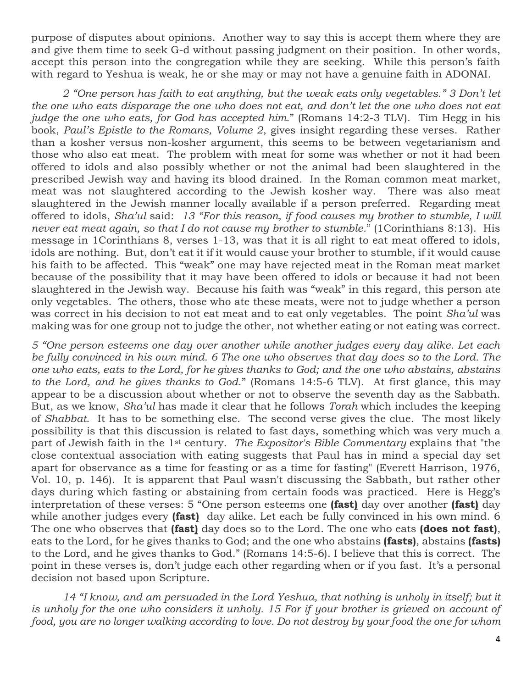purpose of disputes about opinions. Another way to say this is accept them where they are and give them time to seek G-d without passing judgment on their position. In other words, accept this person into the congregation while they are seeking. While this person's faith with regard to Yeshua is weak, he or she may or may not have a genuine faith in ADONAI.

*2 "One person has faith to eat anything, but the weak eats only vegetables." 3 Don't let the one who eats disparage the one who does not eat, and don't let the one who does not eat judge the one who eats, for God has accepted him.*" (Romans 14:2-3 TLV). Tim Hegg in his book, *Paul's Epistle to the Romans, Volume 2*, gives insight regarding these verses. Rather than a kosher versus non-kosher argument, this seems to be between vegetarianism and those who also eat meat. The problem with meat for some was whether or not it had been offered to idols and also possibly whether or not the animal had been slaughtered in the prescribed Jewish way and having its blood drained. In the Roman common meat market, meat was not slaughtered according to the Jewish kosher way. There was also meat slaughtered in the Jewish manner locally available if a person preferred. Regarding meat offered to idols, *Sha'ul* said: *13 "For this reason, if food causes my brother to stumble, I will never eat meat again, so that I do not cause my brother to stumble.*" (1Corinthians 8:13). His message in 1Corinthians 8, verses 1-13, was that it is all right to eat meat offered to idols, idols are nothing. But, don't eat it if it would cause your brother to stumble, if it would cause his faith to be affected. This "weak" one may have rejected meat in the Roman meat market because of the possibility that it may have been offered to idols or because it had not been slaughtered in the Jewish way. Because his faith was "weak" in this regard, this person ate only vegetables. The others, those who ate these meats, were not to judge whether a person was correct in his decision to not eat meat and to eat only vegetables. The point *Sha'ul* was making was for one group not to judge the other, not whether eating or not eating was correct.

*5 "One person esteems one day over another while another judges every day alike. Let each be fully convinced in his own mind. 6 The one who observes that day does so to the Lord. The one who eats, eats to the Lord, for he gives thanks to God; and the one who abstains, abstains to the Lord, and he gives thanks to God*." (Romans 14:5-6 TLV). At first glance, this may appear to be a discussion about whether or not to observe the seventh day as the Sabbath. But, as we know, *Sha'ul* has made it clear that he follows *Torah* which includes the keeping of *Shabbat*. It has to be something else. The second verse gives the clue. The most likely possibility is that this discussion is related to fast days, something which was very much a part of Jewish faith in the 1st century. *The Expositor's Bible Commentary* explains that "the close contextual association with eating suggests that Paul has in mind a special day set apart for observance as a time for feasting or as a time for fasting" (Everett Harrison, 1976, Vol. 10, p. 146). It is apparent that Paul wasn't discussing the Sabbath, but rather other days during which fasting or abstaining from certain foods was practiced. Here is Hegg's interpretation of these verses: 5 "One person esteems one **(fast)** day over another **(fast)** day while another judges every **(fast)** day alike. Let each be fully convinced in his own mind. 6 The one who observes that **(fast)** day does so to the Lord. The one who eats **(does not fast)**, eats to the Lord, for he gives thanks to God; and the one who abstains **(fasts)**, abstains **(fasts)**  to the Lord, and he gives thanks to God." (Romans 14:5-6). I believe that this is correct. The point in these verses is, don't judge each other regarding when or if you fast. It's a personal decision not based upon Scripture.

*14 "I know, and am persuaded in the Lord Yeshua, that nothing is unholy in itself; but it is unholy for the one who considers it unholy. 15 For if your brother is grieved on account of food, you are no longer walking according to love. Do not destroy by your food the one for whom*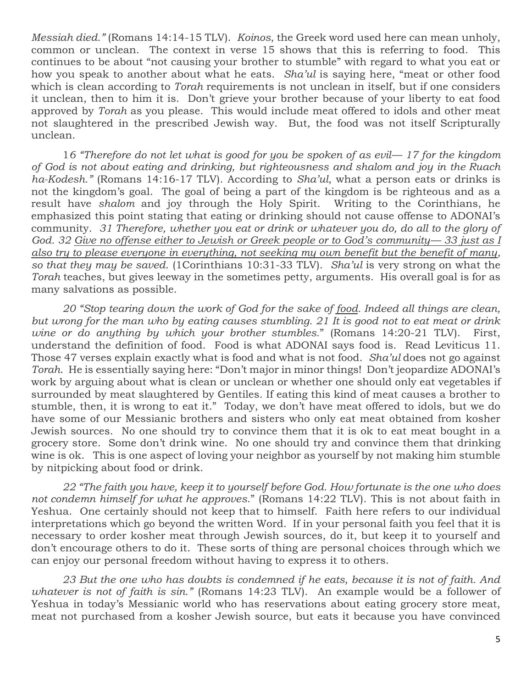*Messiah died."* (Romans 14:14-15 TLV). *Koinos*, the Greek word used here can mean unholy, common or unclean. The context in verse 15 shows that this is referring to food. This continues to be about "not causing your brother to stumble" with regard to what you eat or how you speak to another about what he eats. *Sha'ul* is saying here, "meat or other food which is clean according to *Torah* requirements is not unclean in itself, but if one considers it unclean, then to him it is. Don't grieve your brother because of your liberty to eat food approved by *Torah* as you please. This would include meat offered to idols and other meat not slaughtered in the prescribed Jewish way. But, the food was not itself Scripturally unclean.

1*6 "Therefore do not let what is good for you be spoken of as evil— 17 for the kingdom of God is not about eating and drinking, but righteousness and shalom and joy in the Ruach ha-Kodesh."* (Romans 14:16-17 TLV). According to *Sha'ul*, what a person eats or drinks is not the kingdom's goal. The goal of being a part of the kingdom is be righteous and as a result have *shalom* and joy through the Holy Spirit. Writing to the Corinthians, he emphasized this point stating that eating or drinking should not cause offense to ADONAI's community. *31 Therefore, whether you eat or drink or whatever you do, do all to the glory of God. 32 Give no offense either to Jewish or Greek people or to God's community— 33 just as I also try to please everyone in everything, not seeking my own benefit but the benefit of many, so that they may be saved*. (1Corinthians 10:31-33 TLV). *Sha'ul* is very strong on what the *Torah* teaches, but gives leeway in the sometimes petty, arguments. His overall goal is for as many salvations as possible.

*20 "Stop tearing down the work of God for the sake of food. Indeed all things are clean, but wrong for the man who by eating causes stumbling. 21 It is good not to eat meat or drink wine or do anything by which your brother stumbles.*" (Romans 14:20-21 TLV). First, understand the definition of food. Food is what ADONAI says food is. Read Leviticus 11. Those 47 verses explain exactly what is food and what is not food. *Sha'ul* does not go against *Torah*. He is essentially saying here: "Don't major in minor things! Don't jeopardize ADONAI's work by arguing about what is clean or unclean or whether one should only eat vegetables if surrounded by meat slaughtered by Gentiles. If eating this kind of meat causes a brother to stumble, then, it is wrong to eat it." Today, we don't have meat offered to idols, but we do have some of our Messianic brothers and sisters who only eat meat obtained from kosher Jewish sources. No one should try to convince them that it is ok to eat meat bought in a grocery store. Some don't drink wine. No one should try and convince them that drinking wine is ok. This is one aspect of loving your neighbor as yourself by not making him stumble by nitpicking about food or drink.

*22 "The faith you have, keep it to yourself before God. How fortunate is the one who does not condemn himself for what he approves*." (Romans 14:22 TLV). This is not about faith in Yeshua. One certainly should not keep that to himself. Faith here refers to our individual interpretations which go beyond the written Word. If in your personal faith you feel that it is necessary to order kosher meat through Jewish sources, do it, but keep it to yourself and don't encourage others to do it. These sorts of thing are personal choices through which we can enjoy our personal freedom without having to express it to others.

*23 But the one who has doubts is condemned if he eats, because it is not of faith. And whatever is not of faith is sin."* (Romans 14:23 TLV). An example would be a follower of Yeshua in today's Messianic world who has reservations about eating grocery store meat, meat not purchased from a kosher Jewish source, but eats it because you have convinced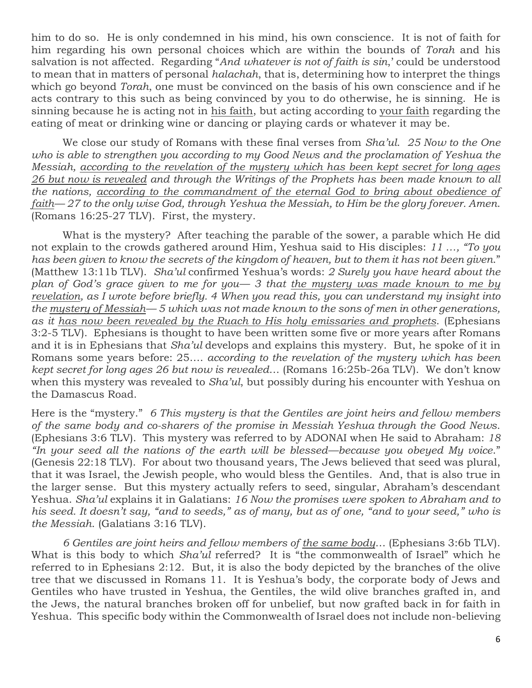him to do so. He is only condemned in his mind, his own conscience. It is not of faith for him regarding his own personal choices which are within the bounds of *Torah* and his salvation is not affected. Regarding "*And whatever is not of faith is sin*,' could be understood to mean that in matters of personal *halachah*, that is, determining how to interpret the things which go beyond *Torah*, one must be convinced on the basis of his own conscience and if he acts contrary to this such as being convinced by you to do otherwise, he is sinning. He is sinning because he is acting not in his faith, but acting according to your faith regarding the eating of meat or drinking wine or dancing or playing cards or whatever it may be.

We close our study of Romans with these final verses from *Sha'ul*. *25 Now to the One who is able to strengthen you according to my Good News and the proclamation of Yeshua the Messiah, according to the revelation of the mystery which has been kept secret for long ages 26 but now is revealed and through the Writings of the Prophets has been made known to all the nations, according to the commandment of the eternal God to bring about obedience of faith— 27 to the only wise God, through Yeshua the Messiah, to Him be the glory forever. Amen*. (Romans 16:25-27 TLV). First, the mystery.

What is the mystery? After teaching the parable of the sower, a parable which He did not explain to the crowds gathered around Him, Yeshua said to His disciples: *11 …, "To you has been given to know the secrets of the kingdom of heaven, but to them it has not been given*." (Matthew 13:11b TLV). *Sha'ul* confirmed Yeshua's words: *2 Surely you have heard about the plan of God's grace given to me for you— 3 that the mystery was made known to me by revelation, as I wrote before briefly. 4 When you read this, you can understand my insight into the mystery of Messiah— 5 which was not made known to the sons of men in other generations, as it has now been revealed by the Ruach to His holy emissaries and prophets*. (Ephesians 3:2-5 TLV). Ephesians is thought to have been written some five or more years after Romans and it is in Ephesians that *Sha'ul* develops and explains this mystery. But, he spoke of it in Romans some years before: 25…. *according to the revelation of the mystery which has been kept secret for long ages 26 but now is revealed*… (Romans 16:25b-26a TLV). We don't know when this mystery was revealed to *Sha'ul*, but possibly during his encounter with Yeshua on the Damascus Road.

Here is the "mystery." *6 This mystery is that the Gentiles are joint heirs and fellow members of the same body and co-sharers of the promise in Messiah Yeshua through the Good News*. (Ephesians 3:6 TLV). This mystery was referred to by ADONAI when He said to Abraham: *18 "In your seed all the nations of the earth will be blessed—because you obeyed My voice*." (Genesis 22:18 TLV). For about two thousand years, The Jews believed that seed was plural, that it was Israel, the Jewish people, who would bless the Gentiles. And, that is also true in the larger sense. But this mystery actually refers to seed, singular, Abraham's descendant Yeshua. *Sha'ul* explains it in Galatians: *16 Now the promises were spoken to Abraham and to his seed. It doesn't say, "and to seeds," as of many, but as of one, "and to your seed," who is the Messiah*. (Galatians 3:16 TLV).

*6 Gentiles are joint heirs and fellow members of the same body*… (Ephesians 3:6b TLV). What is this body to which *Sha'ul* referred? It is "the commonwealth of Israel" which he referred to in Ephesians 2:12. But, it is also the body depicted by the branches of the olive tree that we discussed in Romans 11. It is Yeshua's body, the corporate body of Jews and Gentiles who have trusted in Yeshua, the Gentiles, the wild olive branches grafted in, and the Jews, the natural branches broken off for unbelief, but now grafted back in for faith in Yeshua. This specific body within the Commonwealth of Israel does not include non-believing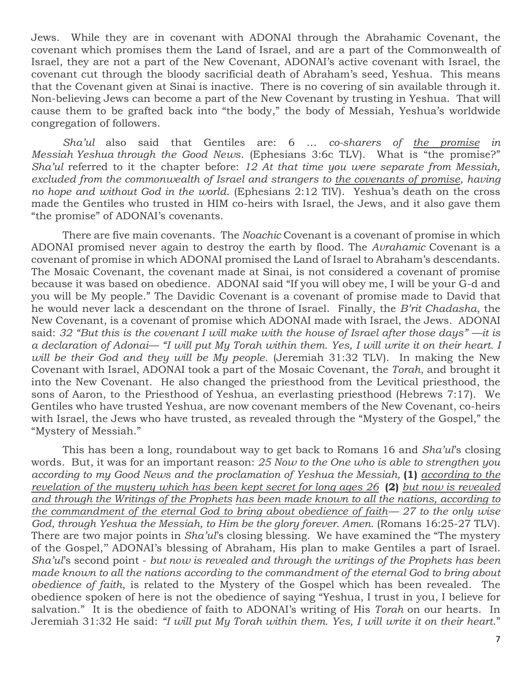Jews. While they are in covenant with ADONAI through the Abrahamic Covenant, the covenant which promises them the Land of Israel, and are a part of the Commonwealth of Israel, they are not a part of the New Covenant, ADONAI's active covenant with Israel, the covenant cut through the bloody sacrificial death of Abraham's seed, Yeshua. This means that the Covenant given at Sinai is inactive. There is no covering of sin available through it. Non-believing Jews can become a part of the New Covenant by trusting in Yeshua. That will cause them to be grafted back into "the body," the body of Messiah, Yeshua's worldwide congregation of followers.

*Sha'ul* also said that Gentiles are: 6 … *co-sharers of the promise in Messiah Yeshua through the Good News*. (Ephesians 3:6c TLV). What is "the promise?" *Sha'ul* referred to it the chapter before: *12 At that time you were separate from Messiah, excluded from the commonwealth of Israel and strangers to the covenants of promise, having no hope and without God in the world*. (Ephesians 2:12 TlV). Yeshua's death on the cross made the Gentiles who trusted in HIM co-heirs with Israel, the Jews, and it also gave them "the promise" of ADONAI's covenants.

There are five main covenants. The *Noachic* Covenant is a covenant of promise in which ADONAI promised never again to destroy the earth by flood. The *Avrahamic* Covenant is a covenant of promise in which ADONAI promised the Land of Israel to Abraham's descendants. The Mosaic Covenant, the covenant made at Sinai, is not considered a covenant of promise because it was based on obedience. ADONAI said "If you will obey me, I will be your G-d and you will be My people." The Davidic Covenant is a covenant of promise made to David that he would never lack a descendant on the throne of Israel. Finally, the *B'rit Chadasha*, the New Covenant, is a covenant of promise which ADONAI made with Israel, the Jews. ADONAI said: *32 "But this is the covenant I will make with the house of Israel after those days" —it is a declaration of Adonai— "I will put My Torah within them. Yes, I will write it on their heart. I will be their God and they will be My people*. (Jeremiah 31:32 TLV). In making the New Covenant with Israel, ADONAI took a part of the Mosaic Covenant, the *Torah*, and brought it into the New Covenant. He also changed the priesthood from the Levitical priesthood, the sons of Aaron, to the Priesthood of Yeshua, an everlasting priesthood (Hebrews 7:17). We Gentiles who have trusted Yeshua, are now covenant members of the New Covenant, co-heirs with Israel, the Jews who have trusted, as revealed through the "Mystery of the Gospel," the "Mystery of Messiah."

This has been a long, roundabout way to get back to Romans 16 and *Sha'ul*'s closing words. But, it was for an important reason: *25 Now to the One who is able to strengthen you according to my Good News and the proclamation of Yeshua the Messiah,* **(1)** *according to the revelation of the mystery which has been kept secret for long ages 26* **(2)** *but now is revealed and through the Writings of the Prophets has been made known to all the nations, according to the commandment of the eternal God to bring about obedience of faith— 27 to the only wise God, through Yeshua the Messiah, to Him be the glory forever. Amen*. (Romans 16:25-27 TLV). There are two major points in *Sha'ul*'s closing blessing. We have examined the "The mystery of the Gospel,'' ADONAI's blessing of Abraham, His plan to make Gentiles a part of Israel. *Sha'ul*'s second point - *but now is revealed and through the writings of the Prophets has been made known to all the nations according to the commandment of the eternal God to bring about obedience of faith*, is related to the Mystery of the Gospel which has been revealed. The obedience spoken of here is not the obedience of saying "Yeshua, I trust in you, I believe for salvation." It is the obedience of faith to ADONAI's writing of His *Torah* on our hearts. In Jeremiah 31:32 He said: *"I will put My Torah within them. Yes, I will write it on their heart*."